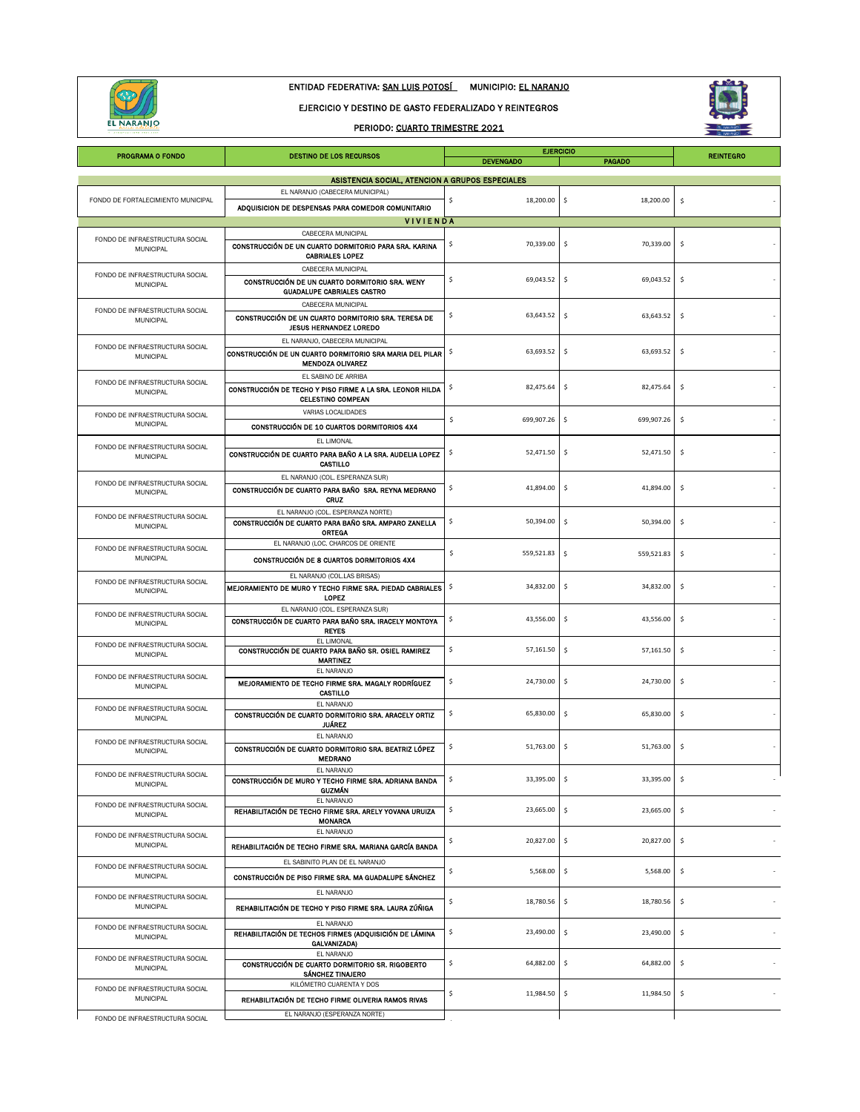

# ENTIDAD FEDERATIVA: SAN LUIS POTOSÍ MUNICIPIO: EL NARANJO

#### EJERCICIO Y DESTINO DE GASTO FEDERALIZADO Y REINTEGROS

## PERIODO: CUARTO TRIMESTRE 2021



| <b>PROGRAMA O FONDO</b>                             | DESTINO DE LOS RECURSOS                                                                                               | <b>REINTEGRO</b> |                  |                     |
|-----------------------------------------------------|-----------------------------------------------------------------------------------------------------------------------|------------------|------------------|---------------------|
|                                                     | ASISTENCIA SOCIAL, ATENCION A GRUPOS ESPECIALES                                                                       |                  |                  |                     |
| FONDO DE FORTALECIMIENTO MUNICIPAL                  | EL NARANJO (CABECERA MUNICIPAL)                                                                                       | \$<br>18,200.00  | \$<br>18,200.00  | \$                  |
|                                                     | ADQUISICION DE DESPENSAS PARA COMEDOR COMUNITARIO                                                                     |                  |                  |                     |
|                                                     | <b>VIVIENDA</b><br>CABECERA MUNICIPAL                                                                                 |                  |                  |                     |
| FONDO DE INFRAESTRUCTURA SOCIAL<br>MUNICIPAL        | CONSTRUCCIÓN DE UN CUARTO DORMITORIO PARA SRA. KARINA<br><b>CABRIALES LOPEZ</b>                                       | \$<br>70,339.00  | 70,339.00<br>\$  | \$                  |
| FONDO DE INFRAESTRUCTURA SOCIAL<br>MUNICIPAL        | CABECERA MUNICIPAL<br>CONSTRUCCIÓN DE UN CUARTO DORMITORIO SRA. WENY<br><b>GUADALUPE CABRIALES CASTRO</b>             | \$<br>69,043.52  | \$<br>69,043.52  | \$                  |
| FONDO DE INFRAESTRUCTURA SOCIAL<br><b>MUNICIPAL</b> | CABECERA MUNICIPAL<br>CONSTRUCCIÓN DE UN CUARTO DORMITORIO SRA. TERESA DE<br><b>JESUS HERNANDEZ LOREDO</b>            | \$<br>63,643.52  | -\$<br>63,643.52 | \$                  |
| FONDO DE INFRAESTRUCTURA SOCIAL<br><b>MUNICIPAL</b> | EL NARANJO, CABECERA MUNICIPAL<br>CONSTRUCCIÓN DE UN CUARTO DORMITORIO SRA MARIA DEL PILAR<br><b>MENDOZA OLIVAREZ</b> | 63,693.52<br>\$  | \$<br>63,693.52  | \$                  |
| FONDO DE INFRAESTRUCTURA SOCIAL<br><b>MUNICIPAL</b> | EL SABINO DE ARRIBA<br>CONSTRUCCIÓN DE TECHO Y PISO FIRME A LA SRA. LEONOR HILDA<br><b>CELESTINO COMPEAN</b>          | 82,475.64<br>\$  | 82,475.64<br>\$  | \$                  |
| FONDO DE INFRAESTRUCTURA SOCIAL<br><b>MUNICIPAL</b> | VARIAS LOCALIDADES<br>CONSTRUCCIÓN DE 10 CUARTOS DORMITORIOS 4X4                                                      | \$<br>699,907.26 | \$<br>699,907.26 | \$                  |
| FONDO DE INFRAESTRUCTURA SOCIAL<br><b>MUNICIPAL</b> | EL LIMONAL<br>CONSTRUCCIÓN DE CUARTO PARA BAÑO A LA SRA. AUDELIA LOPEZ<br>CASTILLO                                    | \$<br>52,471.50  | 52,471.50<br>\$  | $\ddot{\varsigma}$  |
| FONDO DE INFRAESTRUCTURA SOCIAL<br>MUNICIPAL        | EL NARANJO (COL. ESPERANZA SUR)<br>CONSTRUCCIÓN DE CUARTO PARA BAÑO SRA. REYNA MEDRANO<br><b>CRUZ</b>                 | \$<br>41,894.00  | \$<br>41,894.00  | \$                  |
| FONDO DE INFRAESTRUCTURA SOCIAL<br>MUNICIPAL        | EL NARANJO (COL. ESPERANZA NORTE)<br>CONSTRUCCIÓN DE CUARTO PARA BAÑO SRA, AMPARO ZANELLA<br><b>ORTEGA</b>            | \$<br>50,394.00  | \$<br>50,394.00  | \$                  |
| FONDO DE INFRAESTRUCTURA SOCIAL<br><b>MUNICIPAL</b> | EL NARANJO (LOC. CHARCOS DE ORIENTE<br>CONSTRUCCIÓN DE 8 CUARTOS DORMITORIOS 4X4                                      | \$<br>559,521.83 | \$<br>559,521.83 | \$                  |
| FONDO DE INFRAESTRUCTURA SOCIAL<br><b>MUNICIPAL</b> | EL NARANJO (COL.LAS BRISAS)<br>MEJORAMIENTO DE MURO Y TECHO FIRME SRA. PIEDAD CABRIALES<br><b>LOPEZ</b>               | \$<br>34,832.00  | -\$<br>34,832.00 | \$                  |
| FONDO DE INFRAESTRUCTURA SOCIAL<br><b>MUNICIPAL</b> | EL NARANJO (COL. ESPERANZA SUR)<br>CONSTRUCCIÓN DE CUARTO PARA BAÑO SRA. IRACELY MONTOYA<br><b>REYES</b>              | \$<br>43,556.00  | \$<br>43,556.00  | \$                  |
| FONDO DE INFRAESTRUCTURA SOCIAL<br><b>MUNICIPAL</b> | EL LIMONAL<br>CONSTRUCCIÓN DE CUARTO PARA BAÑO SR. OSIEL RAMIREZ<br><b>MARTINEZ</b>                                   | \$<br>57,161.50  | \$<br>57,161.50  | \$                  |
| FONDO DE INFRAESTRUCTURA SOCIAL<br>MUNICIPAL        | EL NARANJO<br>MEJORAMIENTO DE TECHO FIRME SRA. MAGALY RODRÍGUEZ<br>CASTILLO                                           | \$<br>24,730.00  | \$<br>24,730.00  | \$                  |
| FONDO DE INFRAESTRUCTURA SOCIAL<br>MUNICIPAL        | EL NARANJO<br>CONSTRUCCIÓN DE CUARTO DORMITORIO SRA. ARACELY ORTIZ<br>JUÁREZ                                          | \$<br>65,830.00  | \$<br>65,830.00  | \$                  |
| FONDO DE INFRAESTRUCTURA SOCIAL<br><b>MUNICIPAL</b> | EL NARANJO<br>CONSTRUCCIÓN DE CUARTO DORMITORIO SRA, BEATRIZ LÓPEZ<br><b>MEDRANO</b>                                  | \$<br>51,763.00  | -\$<br>51,763.00 | \$                  |
| FONDO DE INFRAESTRUCTURA SOCIAL<br>MUNICIPAL        | EL NARANJO<br>CONSTRUCCIÓN DE MURO Y TECHO FIRME SRA. ADRIANA BANDA<br><b>GUZMÁN</b>                                  | 33,395.00        | 33,395.00        |                     |
| FONDO DE INFRAESTRUCTURA SOCIAL<br><b>MUNICIPAL</b> | EL NARANJO<br>REHABILITACIÓN DE TECHO FIRME SRA. ARELY YOVANA URUIZA<br><b>MONARCA</b>                                | \$<br>23,665.00  | \$<br>23,665.00  | \$                  |
| FONDO DE INFRAESTRUCTURA SOCIAL<br>MUNICIPAL        | EL NARANJO<br>REHABILITACIÓN DE TECHO FIRME SRA. MARIANA GARCÍA BANDA                                                 | \$<br>20,827.00  | \$<br>20,827.00  | \$                  |
| FONDO DE INFRAESTRUCTURA SOCIAL<br>MUNICIPAL        | EL SABINITO PLAN DE EL NARANJO<br>CONSTRUCCIÓN DE PISO FIRME SRA. MA GUADALUPE SÁNCHEZ                                | \$<br>5,568.00   | \$<br>5,568.00   | $\ddot{\mathsf{s}}$ |
| FONDO DE INFRAESTRUCTURA SOCIAL<br><b>MUNICIPAL</b> | EL NARANJO<br>REHABILITACIÓN DE TECHO Y PISO FIRME SRA. LAURA ZÚÑIGA                                                  | \$<br>18,780.56  | \$<br>18,780.56  | \$                  |
| FONDO DE INFRAESTRUCTURA SOCIAL<br><b>MUNICIPAL</b> | EL NARANJO<br>REHABILITACIÓN DE TECHOS FIRMES (ADQUISICIÓN DE LÁMINA<br>GALVANIZADA)                                  | \$<br>23,490.00  | \$<br>23,490.00  | \$                  |
| FONDO DE INFRAESTRUCTURA SOCIAL<br>MUNICIPAL        | EL NARANJO<br>CONSTRUCCIÓN DE CUARTO DORMITORIO SR. RIGOBERTO<br>SÁNCHEZ TINAJERO                                     | \$<br>64,882.00  | \$<br>64,882.00  | \$                  |
| FONDO DE INFRAESTRUCTURA SOCIAL<br>MUNICIPAL        | KILÓMETRO CUARENTA Y DOS<br>REHABILITACIÓN DE TECHO FIRME OLIVERIA RAMOS RIVAS                                        | \$<br>11,984.50  | \$<br>11,984.50  | \$                  |
| FONDO DE INFRAESTRUCTURA SOCIAL                     | EL NARANJO (ESPERANZA NORTE)                                                                                          |                  |                  |                     |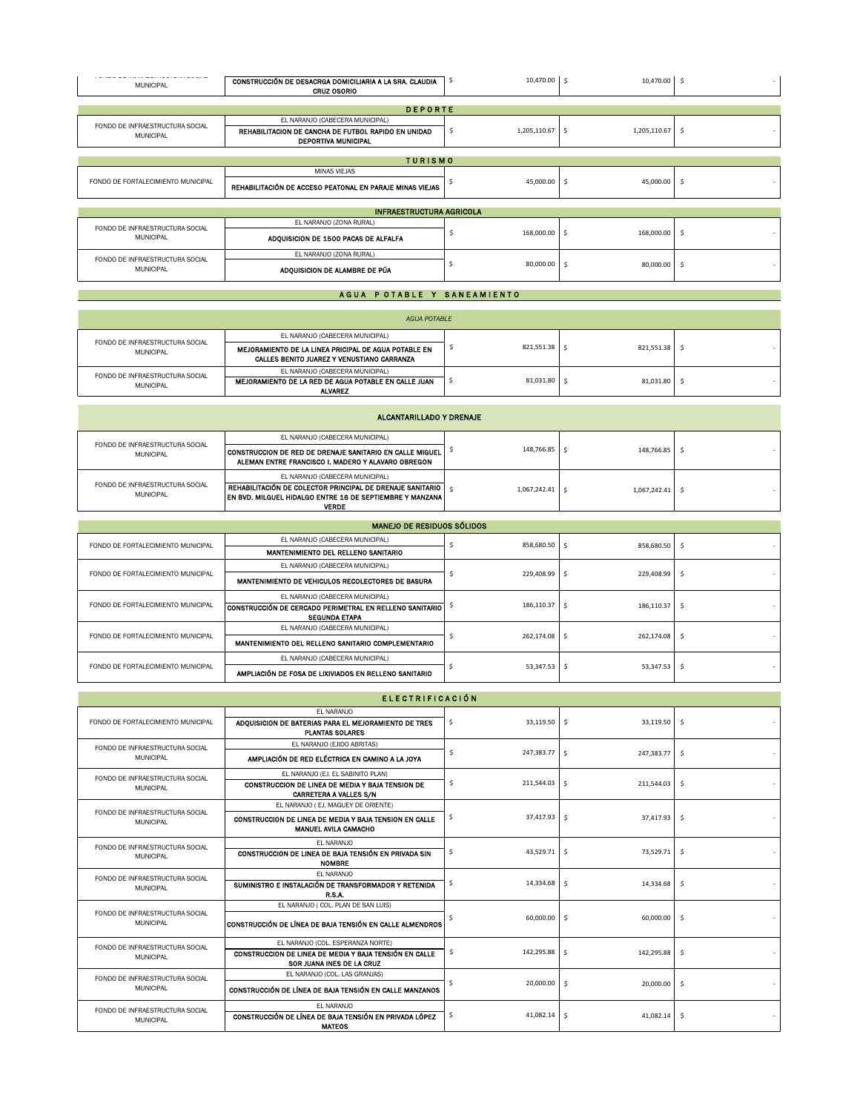|  | T VINOV DE INTIMEQUINOVI ONN QUOINE<br><b>MUNICIPAL</b> | CONSTRUCCIÓN DE DESACRGA DOMICILIARIA A LA SRA. CLAUDIA<br><b>CRUZ OSORIO</b>     | \$ | 10,470.00 \$      |                 | 10,470.00  | -\$ |
|--|---------------------------------------------------------|-----------------------------------------------------------------------------------|----|-------------------|-----------------|------------|-----|
|  |                                                         |                                                                                   |    |                   |                 |            |     |
|  |                                                         | <b>DEPORTE</b>                                                                    |    |                   |                 |            |     |
|  |                                                         | EL NARANJO (CABECERA MUNICIPAL)                                                   |    |                   |                 |            |     |
|  | FONDO DE INFRAESTRUCTURA SOCIAL<br><b>MUNICIPAL</b>     | REHABILITACION DE CANCHA DE FUTBOL RAPIDO EN UNIDAD<br><b>DEPORTIVA MUNICIPAL</b> | -S | $1,205,110.67$ \$ | 1,205,110.67    |            | -\$ |
|  |                                                         |                                                                                   |    |                   |                 |            |     |
|  |                                                         | <b>TURISMO</b>                                                                    |    |                   |                 |            |     |
|  |                                                         | <b>MINAS VIEJAS</b>                                                               |    |                   |                 |            |     |
|  | FONDO DE FORTALECIMIENTO MUNICIPAL                      | REHABILITACIÓN DE ACCESO PEATONAL EN PARAJE MINAS VIEJAS                          |    | 45,000.00         | -Ś<br>45,000.00 | - \$       |     |
|  |                                                         |                                                                                   |    |                   |                 |            |     |
|  |                                                         | <b>INFRAESTRUCTURA AGRICOLA</b>                                                   |    |                   |                 |            |     |
|  |                                                         | EL NARANJO (ZONA RURAL)                                                           |    |                   |                 |            |     |
|  | FONDO DE INFRAESTRUCTURA SOCIAL<br><b>MUNICIPAL</b>     | ADQUISICION DE 1500 PACAS DE ALFALFA                                              |    | 168,000.00        | -Ś              | 168,000.00 | -\$ |
|  | FONDO DE INFRAESTRUCTURA SOCIAL<br><b>MUNICIPAL</b>     | EL NARANJO (ZONA RURAL)                                                           |    |                   |                 |            |     |
|  |                                                         | ADQUISICION DE ALAMBRE DE PÚA                                                     |    | 80,000.00         | -Ś              | 80,000.00  | s.  |
|  |                                                         |                                                                                   |    |                   |                 |            |     |
|  |                                                         | A GUAL DIGTA DI FL. VI GANIFAMIFNTO                                               |    |                   |                 |            |     |

#### A GUA POTABLE Y SANEAMIENTO

| <b>AGUA POTABLE</b>                                 |                                                                                                           |  |            |            |  |  |
|-----------------------------------------------------|-----------------------------------------------------------------------------------------------------------|--|------------|------------|--|--|
| FONDO DE INFRAESTRUCTURA SOCIAL<br>MUNICIPAL        | EL NARANJO (CABECERA MUNICIPAL)                                                                           |  | 821,551.38 |            |  |  |
|                                                     | MEJORAMIENTO DE LA LINEA PRICIPAL DE AGUA POTABLE EN<br>CALLES BENITO JUAREZ Y VENUSTIANO CARRANZA        |  |            | 821.551.38 |  |  |
| FONDO DE INFRAESTRUCTURA SOCIAL<br><b>MUNICIPAL</b> | EL NARANJO (CABECERA MUNICIPAL)<br>MEJORAMIENTO DE LA RED DE AGUA POTABLE EN CALLE JUAN<br><b>ALVAREZ</b> |  | 81,031.80  | 81.031.80  |  |  |

| ALCANTARILLADO Y DRENAJE                            |                                                                                                                                                                                    |  |              |              |  |
|-----------------------------------------------------|------------------------------------------------------------------------------------------------------------------------------------------------------------------------------------|--|--------------|--------------|--|
| FONDO DE INFRAESTRUCTURA SOCIAL<br><b>MUNICIPAL</b> | EL NARANJO (CABECERA MUNICIPAL)                                                                                                                                                    |  | 148.766.85   | 148,766.85   |  |
|                                                     | I CONSTRUCCION DE RED DE DRENAJE SANITARIO EN CALLE MIGUEL<br>ALEMAN ENTRE FRANCISCO I. MADERO Y ALAVARO OBREGON                                                                   |  |              |              |  |
| FONDO DE INFRAESTRUCTURA SOCIAL<br><b>MUNICIPAL</b> | EL NARANJO (CABECERA MUNICIPAL)<br>REHABILITACIÓN DE COLECTOR PRINCIPAL DE DRENAJE SANITARIO<br><b>IEN BVD. MILGUEL HIDALGO ENTRE 16 DE SEPTIEMBRE Y MANZANA I</b><br><b>VERDE</b> |  | 1.067.242.41 | 1.067.242.41 |  |

| <b>MANEJO DE RESIDUOS SÓLIDOS</b>  |                                                                                 |                                   |                             |     |  |
|------------------------------------|---------------------------------------------------------------------------------|-----------------------------------|-----------------------------|-----|--|
| FONDO DE FORTALECIMIENTO MUNICIPAL | EL NARANJO (CABECERA MUNICIPAL)                                                 | 858,680.50 \$                     | 858,680.50                  | - S |  |
|                                    | MANTENIMIENTO DEL RELLENO SANITARIO                                             |                                   |                             |     |  |
| FONDO DE FORTALECIMIENTO MUNICIPAL | EL NARANJO (CABECERA MUNICIPAL)                                                 |                                   |                             |     |  |
|                                    | MANTENIMIENTO DE VEHICULOS RECOLECTORES DE BASURA                               | 229,408.99 \$<br>229,408.99<br>-Ś |                             |     |  |
| FONDO DE FORTALECIMIENTO MUNICIPAL | EL NARANJO (CABECERA MUNICIPAL)                                                 |                                   | 186,110.37                  |     |  |
|                                    | CONSTRUCCIÓN DE CERCADO PERIMETRAL EN RELLENO SANITARIO<br><b>SEGUNDA ETAPA</b> | 186,110.37                        |                             | -Ś  |  |
|                                    | EL NARANJO (CABECERA MUNICIPAL)                                                 |                                   | 262.174.08 \$<br>262.174.08 |     |  |
| FONDO DE FORTALECIMIENTO MUNICIPAL | MANTENIMIENTO DEL RELLENO SANITARIO COMPLEMENTARIO                              |                                   |                             | -S  |  |
| FONDO DE FORTALECIMIENTO MUNICIPAL | EL NARANJO (CABECERA MUNICIPAL)                                                 |                                   | 53.347.53                   |     |  |
|                                    | AMPLIACIÓN DE FOSA DE LIXIVIADOS EN RELLENO SANITARIO                           | 53,347.53                         |                             | Ŝ.  |  |

| <b>ELECTRIFICACIÓN</b>                              |                                                                                                                          |     |                |                    |                     |
|-----------------------------------------------------|--------------------------------------------------------------------------------------------------------------------------|-----|----------------|--------------------|---------------------|
| FONDO DE FORTALECIMIENTO MUNICIPAL                  | <b>FL NARANJO</b><br>ADOUISICION DE BATERIAS PARA EL MEJORAMIENTO DE TRES<br><b>PLANTAS SOLARES</b>                      | \$  | $33,119.50$ \$ | 33,119.50          | - Ś                 |
| FONDO DE INFRAESTRUCTURA SOCIAL<br><b>MUNICIPAL</b> | EL NARANJO (EJIDO ABRITAS)<br>AMPLIACIÓN DE RED ELÉCTRICA EN CAMINO A LA JOYA                                            | Ś   | 247.383.77     | l \$<br>247,383.77 | $\ddot{\mathsf{s}}$ |
| FONDO DE INFRAESTRUCTURA SOCIAL<br><b>MUNICIPAL</b> | EL NARANJO (EJ. EL SABINITO PLAN)<br>CONSTRUCCION DE LINEA DE MEDIA Y BAJA TENSION DE<br><b>CARRETERA A VALLES S/N</b>   | -\$ | 211,544.03     | Ŝ.<br>211,544.03   | -\$                 |
| FONDO DE INFRAESTRUCTURA SOCIAL<br>MUNICIPAL        | EL NARANJO (EJ. MAGUEY DE ORIENTE)<br>CONSTRUCCION DE LINEA DE MEDIA Y BAJA TENSION EN CALLE<br>MANUEL AVILA CAMACHO     | \$  | $37,417.93$ \$ | 37,417.93          | \$                  |
| FONDO DE INFRAESTRUCTURA SOCIAL<br><b>MUNICIPAL</b> | FL NARANJO<br>CONSTRUCCION DE LINEA DE BAJA TENSIÓN EN PRIVADA SIN<br><b>NOMBRE</b>                                      | .s  | $43,529.71$ \$ | 73,529.71          | -\$                 |
| FONDO DE INFRAESTRUCTURA SOCIAL<br><b>MUNICIPAL</b> | FI NARANJO<br>SUMINISTRO E INSTALACIÓN DE TRANSFORMADOR Y RETENIDA<br>R.S.A.                                             | \$. | $14,334.68$ \$ | 14,334.68          | - Ś                 |
| FONDO DE INFRAESTRUCTURA SOCIAL<br><b>MUNICIPAL</b> | EL NARANJO ( COL. PLAN DE SAN LUIS)<br>CONSTRUCCIÓN DE LÍNEA DE BAJA TENSIÓN EN CALLE ALMENDROS                          |     | $60,000.00$ \$ | 60,000.00          | \$                  |
| FONDO DE INFRAESTRUCTURA SOCIAL<br><b>MUNICIPAL</b> | EL NARANJO (COL. ESPERANZA NORTE)<br>CONSTRUCCION DE LINEA DE MEDIA Y BAJA TENSIÓN EN CALLE<br>SOR JUANA INES DE LA CRUZ | Ŝ.  | 142,295.88     | l s<br>142,295.88  | - Ś                 |
| FONDO DE INFRAESTRUCTURA SOCIAL<br><b>MUNICIPAL</b> | EL NARANJO (COL. LAS GRANJAS)<br>CONSTRUCCIÓN DE LÍNEA DE BAJA TENSIÓN EN CALLE MANZANOS                                 |     | 20,000.00      | l \$<br>20,000.00  | -\$                 |
| FONDO DE INFRAESTRUCTURA SOCIAL<br><b>MUNICIPAL</b> | FL NARANJO<br>CONSTRUCCIÓN DE LÍNEA DE BAJA TENSIÓN EN PRIVADA LÓPEZ<br><b>MATEOS</b>                                    | \$. | $41,082.14$ \$ | 41,082.14          | - Ś                 |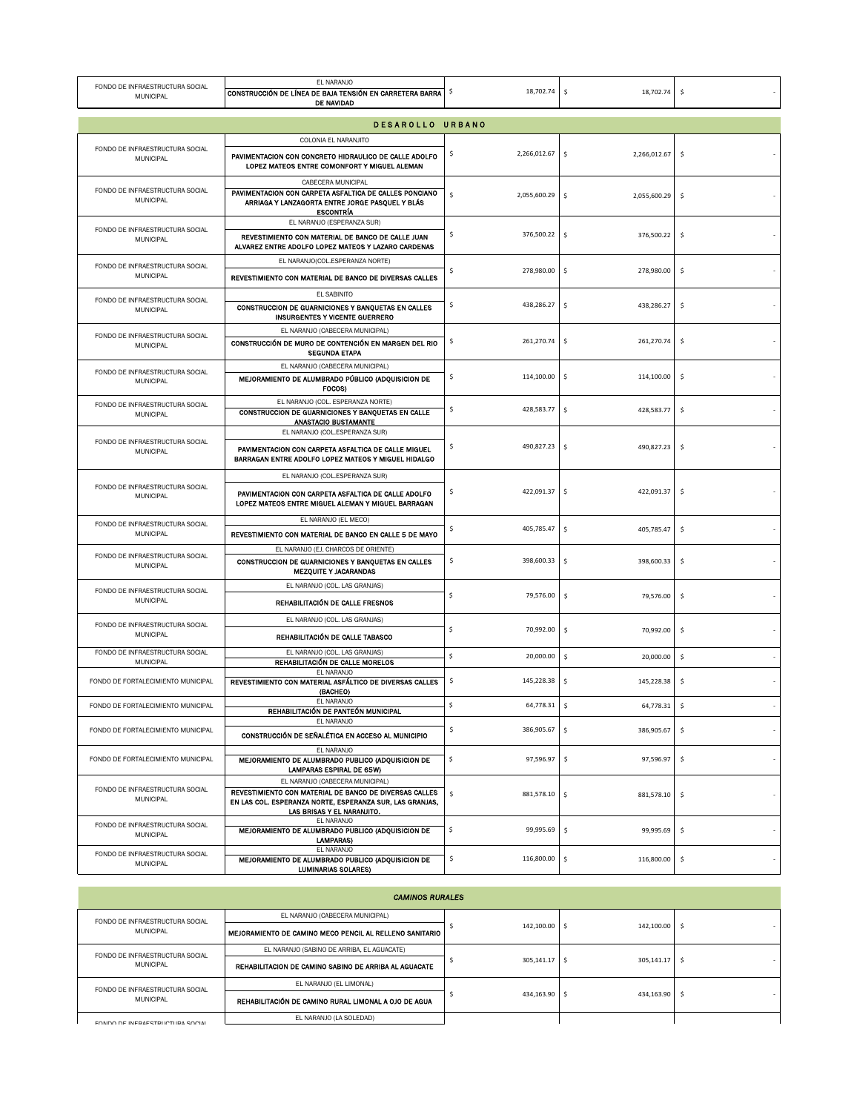| EL NARANJO<br>FONDO DE INFRAESTRUCTURA SOCIAL<br>CONSTRUCCIÓN DE LÍNEA DE BAJA TENSIÓN EN CARRETERA BARRA<br><b>MUNICIPAL</b><br>DE NAVIDAD |                                                                                                                                                                                     | 18,702.74<br>\$    | -\$<br>18,702.74                   | -\$ |
|---------------------------------------------------------------------------------------------------------------------------------------------|-------------------------------------------------------------------------------------------------------------------------------------------------------------------------------------|--------------------|------------------------------------|-----|
|                                                                                                                                             | DESAROLLO URBANO                                                                                                                                                                    |                    |                                    |     |
|                                                                                                                                             | COLONIA EL NARANJITO                                                                                                                                                                |                    |                                    |     |
| FONDO DE INFRAESTRUCTURA SOCIAL<br><b>MUNICIPAL</b>                                                                                         | PAVIMENTACION CON CONCRETO HIDRAULICO DE CALLE ADOLFO<br>LOPEZ MATEOS ENTRE COMONFORT Y MIGUEL ALEMAN                                                                               | 2,266,012.67<br>\$ | \$<br>2,266,012.67                 | \$  |
| FONDO DE INFRAESTRUCTURA SOCIAL<br>MUNICIPAL                                                                                                | CABECERA MUNICIPAL<br>PAVIMENTACION CON CARPETA ASFALTICA DE CALLES PONCIANO<br>ARRIAGA Y LANZAGORTA ENTRE JORGE PASQUEL Y BLÁS<br><b>ESCONTRÍA</b>                                 | \$<br>2,055,600.29 | \$<br>2,055,600.29                 | \$  |
| FONDO DE INFRAESTRUCTURA SOCIAL<br><b>MUNICIPAL</b>                                                                                         | EL NARANJO (ESPERANZA SUR)<br>REVESTIMIENTO CON MATERIAL DE BANCO DE CALLE JUAN<br>ALVAREZ ENTRE ADOLFO LOPEZ MATEOS Y LAZARO CARDENAS                                              | \$<br>376,500.22   | -\$<br>376,500.22                  | \$  |
| FONDO DE INFRAESTRUCTURA SOCIAL<br>MUNICIPAL                                                                                                | EL NARANJO(COL.ESPERANZA NORTE)<br>REVESTIMIENTO CON MATERIAL DE BANCO DE DIVERSAS CALLES                                                                                           | \$<br>278,980.00   | $\ddot{\phantom{1}}$<br>278,980.00 | \$  |
|                                                                                                                                             | EL SABINITO                                                                                                                                                                         |                    |                                    |     |
| FONDO DE INFRAESTRUCTURA SOCIAL<br><b>MUNICIPAL</b>                                                                                         | CONSTRUCCION DE GUARNICIONES Y BANQUETAS EN CALLES<br><b>INSURGENTES Y VICENTE GUERRERO</b>                                                                                         | \$<br>438,286.27   | $\ddot{\phantom{1}}$<br>438,286.27 | \$  |
| FONDO DE INFRAESTRUCTURA SOCIAL<br>MUNICIPAL                                                                                                | EL NARANJO (CABECERA MUNICIPAL)<br>CONSTRUCCIÓN DE MURO DE CONTENCIÓN EN MARGEN DEL RIO<br><b>SEGUNDA ETAPA</b>                                                                     | \$<br>261,270.74   | $\ddot{\phantom{1}}$<br>261,270.74 | \$  |
| FONDO DE INFRAESTRUCTURA SOCIAL<br><b>MUNICIPAL</b>                                                                                         | EL NARANJO (CABECERA MUNICIPAL)<br>MEJORAMIENTO DE ALUMBRADO PÚBLICO (ADQUISICION DE<br>FOCOS)                                                                                      | \$<br>114,100.00   | -\$<br>114,100.00                  | \$  |
| FONDO DE INFRAESTRUCTURA SOCIAL<br><b>MUNICIPAL</b>                                                                                         | EL NARANJO (COL. ESPERANZA NORTE)<br>CONSTRUCCION DE GUARNICIONES Y BANQUETAS EN CALLE<br><b>ANASTACIO BUSTAMANTE</b>                                                               | \$<br>428,583.77   | $\ddot{\phantom{1}}$<br>428,583.77 | \$  |
| FONDO DE INFRAESTRUCTURA SOCIAL<br><b>MUNICIPAL</b>                                                                                         | EL NARANJO (COL.ESPERANZA SUR)<br>PAVIMENTACION CON CARPETA ASFALTICA DE CALLE MIGUEL<br>BARRAGAN ENTRE ADOLFO LOPEZ MATEOS Y MIGUEL HIDALGO                                        | 490,827.23<br>\$   | \$<br>490,827.23                   | \$  |
| FONDO DE INFRAESTRUCTURA SOCIAL<br><b>MUNICIPAL</b>                                                                                         | EL NARANJO (COL.ESPERANZA SUR)<br>PAVIMENTACION CON CARPETA ASFALTICA DE CALLE ADOLFO<br>LOPEZ MATEOS ENTRE MIGUEL ALEMAN Y MIGUEL BARRAGAN                                         | \$<br>422,091.37   | \$<br>422,091.37                   | -\$ |
| FONDO DE INFRAESTRUCTURA SOCIAL<br><b>MUNICIPAL</b>                                                                                         | EL NARANJO (EL MECO)<br>REVESTIMIENTO CON MATERIAL DE BANCO EN CALLE 5 DE MAYO                                                                                                      | \$<br>405,785.47   | \$<br>405,785.47                   | \$  |
| FONDO DE INFRAESTRUCTURA SOCIAL<br><b>MUNICIPAL</b>                                                                                         | EL NARANJO (EJ. CHARCOS DE ORIENTE)<br>CONSTRUCCION DE GUARNICIONES Y BANQUETAS EN CALLES<br><b>MEZQUITE Y JACARANDAS</b>                                                           | \$<br>398,600.33   | -\$<br>398,600.33                  | \$  |
| FONDO DE INFRAESTRUCTURA SOCIAL<br><b>MUNICIPAL</b>                                                                                         | EL NARANJO (COL. LAS GRANJAS)<br>REHABILITACIÓN DE CALLE FRESNOS                                                                                                                    | \$<br>79,576.00    | \$<br>79,576.00                    | \$  |
| FONDO DE INFRAESTRUCTURA SOCIAL<br><b>MUNICIPAL</b>                                                                                         | EL NARANJO (COL. LAS GRANJAS)<br>REHABILITACIÓN DE CALLE TABASCO                                                                                                                    | \$<br>70,992.00    | \$<br>70,992.00                    | \$  |
| FONDO DE INFRAESTRUCTURA SOCIAL<br>MUNICIPAL                                                                                                | EL NARANJO (COL. LAS GRANJAS)<br>REHABILITACIÓN DE CALLE MORELOS                                                                                                                    | \$<br>20,000.00    | $\ddot{\mathsf{S}}$<br>20,000.00   | \$  |
| FONDO DE FORTALECIMIENTO MUNICIPAL                                                                                                          | EL NARANJO<br>REVESTIMIENTO CON MATERIAL ASFÁLTICO DE DIVERSAS CALLES<br>(BACHEO)                                                                                                   | \$<br>145,228.38   | -\$<br>145,228.38                  | \$  |
| FONDO DE FORTALECIMIENTO MUNICIPAL                                                                                                          | EL NARANJO<br>REHABILITACIÓN DE PANTEÓN MUNICIPAL                                                                                                                                   | $64,778.31$   \$   | 64,778.31                          |     |
| FONDO DE FORTALECIMIENTO MUNICIPAL                                                                                                          | EL NARANJO<br>CONSTRUCCIÓN DE SEÑALÉTICA EN ACCESO AL MUNICIPIO                                                                                                                     | \$<br>386,905.67   | $\ddot{\mathsf{s}}$<br>386,905.67  | \$  |
| FONDO DE FORTALECIMIENTO MUNICIPAL                                                                                                          | EL NARANJO<br>MEJORAMIENTO DE ALUMBRADO PUBLICO (ADQUISICION DE<br><b>LAMPARAS ESPIRAL DE 65W)</b>                                                                                  | \$<br>97,596.97    | \$<br>97,596.97                    | \$  |
| FONDO DE INFRAESTRUCTURA SOCIAL<br><b>MUNICIPAL</b>                                                                                         | EL NARANJO (CABECERA MUNICIPAL)<br>REVESTIMIENTO CON MATERIAL DE BANCO DE DIVERSAS CALLES<br>EN LAS COL. ESPERANZA NORTE, ESPERANZA SUR, LAS GRANJAS,<br>LAS BRISAS Y EL NARANJITO. | \$<br>881,578.10   | $\ddot{\phantom{1}}$<br>881,578.10 | \$  |
| FONDO DE INFRAESTRUCTURA SOCIAL<br>MUNICIPAL                                                                                                | EL NARANJO<br>MEJORAMIENTO DE ALUMBRADO PUBLICO (ADQUISICION DE<br><b>LAMPARAS)</b>                                                                                                 | \$<br>99,995.69    | $\ddot{\mathsf{s}}$<br>99,995.69   | \$  |
| FONDO DE INFRAESTRUCTURA SOCIAL<br><b>MUNICIPAL</b>                                                                                         | EL NARANJO<br>MEJORAMIENTO DE ALUMBRADO PUBLICO (ADQUISICION DE<br><b>LUMINARIAS SOLARES)</b>                                                                                       | \$<br>116,800.00   | $\ddot{\mathsf{s}}$<br>116,800.00  | \$  |

| <b>CAMINOS RURALES</b>                              |                                                         |                 |               |    |  |
|-----------------------------------------------------|---------------------------------------------------------|-----------------|---------------|----|--|
| FONDO DE INFRAESTRUCTURA SOCIAL<br><b>MUNICIPAL</b> | EL NARANJO (CABECERA MUNICIPAL)                         |                 | 142,100.00 \$ |    |  |
|                                                     | MEJORAMIENTO DE CAMINO MECO PENCIL AL RELLENO SANITARIO | 142,100.00 \$   |               |    |  |
| FONDO DE INFRAESTRUCTURA SOCIAL<br><b>MUNICIPAL</b> | EL NARANJO (SABINO DE ARRIBA, EL AGUACATE)              | $305.141.17$ \$ |               |    |  |
|                                                     | REHABILITACION DE CAMINO SABINO DE ARRIBA AL AGUACATE   |                 | 305.141.17    | -Ś |  |
| FONDO DE INFRAESTRUCTURA SOCIAL                     | EL NARANJO (EL LIMONAL)                                 |                 | 434,163.90    |    |  |
| <b>MUNICIPAL</b>                                    | REHABILITACIÓN DE CAMINO RURAL LIMONAL A OJO DE AGUA    | 434.163.90 \$   |               | -S |  |
| FONDO DE INFRAFSTRUCTURA SOCIAL                     | EL NARANJO (LA SOLEDAD)                                 |                 |               |    |  |